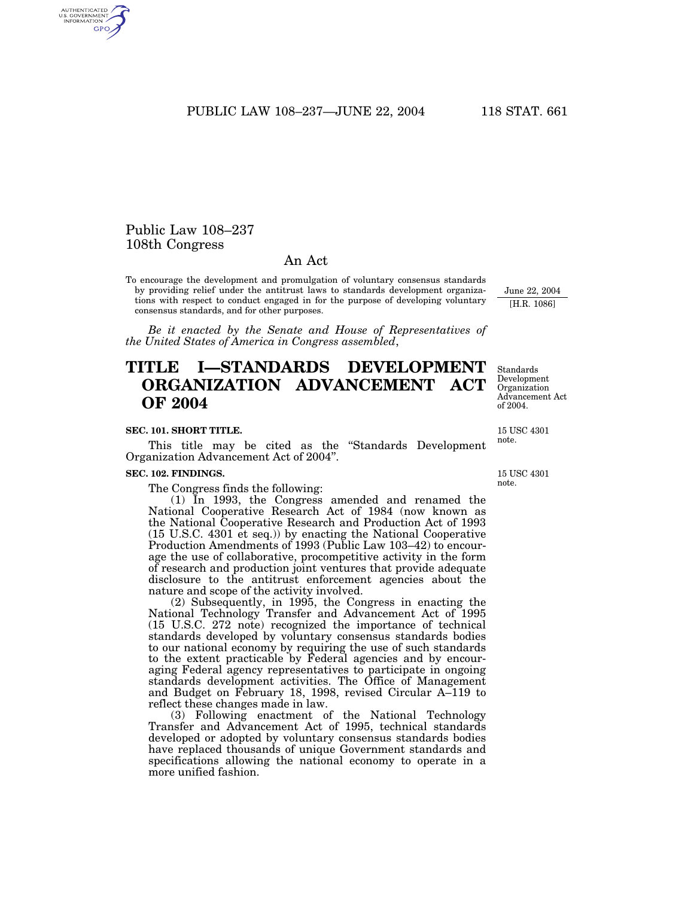PUBLIC LAW 108–237—JUNE 22, 2004 118 STAT. 661

## Public Law 108–237 108th Congress

## An Act

To encourage the development and promulgation of voluntary consensus standards by providing relief under the antitrust laws to standards development organizations with respect to conduct engaged in for the purpose of developing voluntary consensus standards, and for other purposes.

*Be it enacted by the Senate and House of Representatives of the United States of America in Congress assembled*,

# **TITLE I—STANDARDS DEVELOPMENT ORGANIZATION ADVANCEMENT ACT OF 2004**

### **SEC. 101. SHORT TITLE.**

This title may be cited as the ''Standards Development Organization Advancement Act of 2004''.

### **SEC. 102. FINDINGS.**

The Congress finds the following:

(1) In 1993, the Congress amended and renamed the National Cooperative Research Act of 1984 (now known as the National Cooperative Research and Production Act of 1993 (15 U.S.C. 4301 et seq.)) by enacting the National Cooperative Production Amendments of 1993 (Public Law 103–42) to encourage the use of collaborative, procompetitive activity in the form of research and production joint ventures that provide adequate disclosure to the antitrust enforcement agencies about the nature and scope of the activity involved.

(2) Subsequently, in 1995, the Congress in enacting the National Technology Transfer and Advancement Act of 1995 (15 U.S.C. 272 note) recognized the importance of technical standards developed by voluntary consensus standards bodies to our national economy by requiring the use of such standards to the extent practicable by Federal agencies and by encouraging Federal agency representatives to participate in ongoing standards development activities. The Office of Management and Budget on February 18, 1998, revised Circular A–119 to reflect these changes made in law.

(3) Following enactment of the National Technology Transfer and Advancement Act of 1995, technical standards developed or adopted by voluntary consensus standards bodies have replaced thousands of unique Government standards and specifications allowing the national economy to operate in a more unified fashion.

Standards Development Organization Advancement Act of 2004.

June 22, 2004 [H.R. 1086]

15 USC 4301 note.

15 USC 4301 note.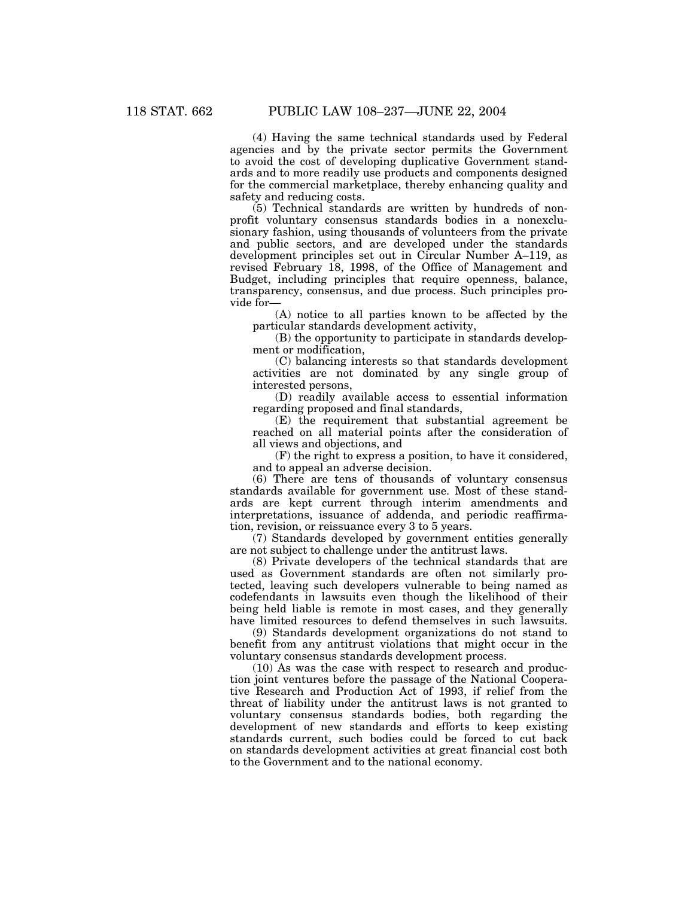(4) Having the same technical standards used by Federal agencies and by the private sector permits the Government to avoid the cost of developing duplicative Government standards and to more readily use products and components designed for the commercial marketplace, thereby enhancing quality and safety and reducing costs.

(5) Technical standards are written by hundreds of nonprofit voluntary consensus standards bodies in a nonexclusionary fashion, using thousands of volunteers from the private and public sectors, and are developed under the standards development principles set out in Circular Number A–119, as revised February 18, 1998, of the Office of Management and Budget, including principles that require openness, balance, transparency, consensus, and due process. Such principles provide for—

(A) notice to all parties known to be affected by the particular standards development activity,

(B) the opportunity to participate in standards development or modification,

(C) balancing interests so that standards development activities are not dominated by any single group of interested persons,

(D) readily available access to essential information regarding proposed and final standards,

(E) the requirement that substantial agreement be reached on all material points after the consideration of all views and objections, and

(F) the right to express a position, to have it considered, and to appeal an adverse decision.

(6) There are tens of thousands of voluntary consensus standards available for government use. Most of these standards are kept current through interim amendments and interpretations, issuance of addenda, and periodic reaffirmation, revision, or reissuance every 3 to 5 years.

(7) Standards developed by government entities generally are not subject to challenge under the antitrust laws.

(8) Private developers of the technical standards that are used as Government standards are often not similarly protected, leaving such developers vulnerable to being named as codefendants in lawsuits even though the likelihood of their being held liable is remote in most cases, and they generally have limited resources to defend themselves in such lawsuits.

(9) Standards development organizations do not stand to benefit from any antitrust violations that might occur in the voluntary consensus standards development process.

(10) As was the case with respect to research and production joint ventures before the passage of the National Cooperative Research and Production Act of 1993, if relief from the threat of liability under the antitrust laws is not granted to voluntary consensus standards bodies, both regarding the development of new standards and efforts to keep existing standards current, such bodies could be forced to cut back on standards development activities at great financial cost both to the Government and to the national economy.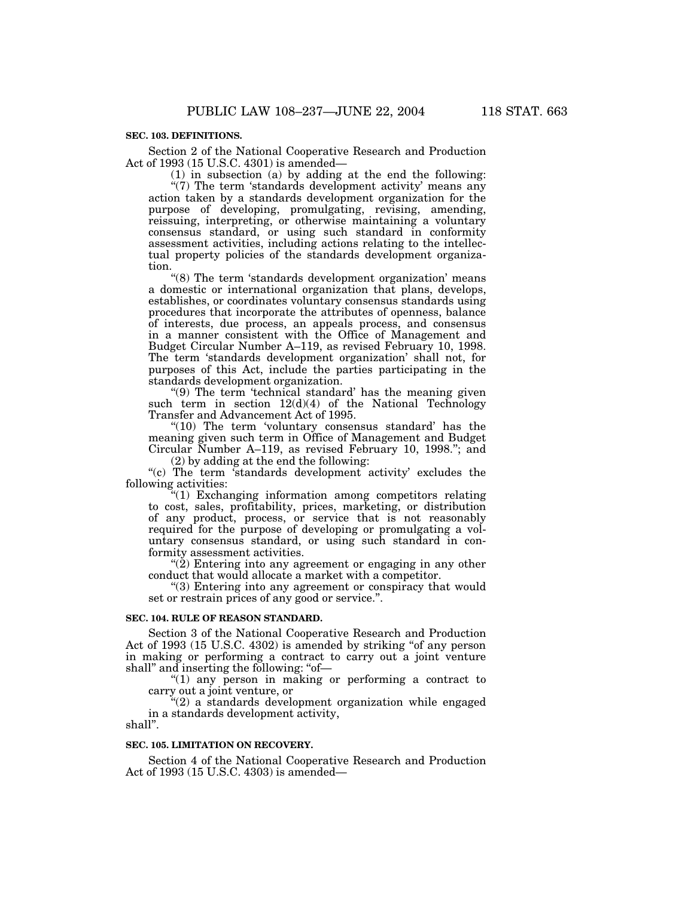### **SEC. 103. DEFINITIONS.**

Section 2 of the National Cooperative Research and Production Act of 1993 (15 U.S.C. 4301) is amended—

(1) in subsection (a) by adding at the end the following:

"(7) The term 'standards development activity' means any action taken by a standards development organization for the purpose of developing, promulgating, revising, amending, reissuing, interpreting, or otherwise maintaining a voluntary consensus standard, or using such standard in conformity assessment activities, including actions relating to the intellectual property policies of the standards development organization.

"(8) The term 'standards development organization' means a domestic or international organization that plans, develops, establishes, or coordinates voluntary consensus standards using procedures that incorporate the attributes of openness, balance of interests, due process, an appeals process, and consensus in a manner consistent with the Office of Management and Budget Circular Number A–119, as revised February 10, 1998. The term 'standards development organization' shall not, for purposes of this Act, include the parties participating in the standards development organization.

" $(9)$  The term 'technical standard' has the meaning given such term in section  $12(d)(4)$  of the National Technology Transfer and Advancement Act of 1995.

''(10) The term 'voluntary consensus standard' has the meaning given such term in Office of Management and Budget Circular Number A–119, as revised February 10, 1998.''; and (2) by adding at the end the following:

"(c) The term 'standards development activity' excludes the following activities:

"(1) Exchanging information among competitors relating to cost, sales, profitability, prices, marketing, or distribution of any product, process, or service that is not reasonably required for the purpose of developing or promulgating a voluntary consensus standard, or using such standard in conformity assessment activities.

"(2) Entering into any agreement or engaging in any other conduct that would allocate a market with a competitor.

''(3) Entering into any agreement or conspiracy that would set or restrain prices of any good or service.''.

### **SEC. 104. RULE OF REASON STANDARD.**

Section 3 of the National Cooperative Research and Production Act of 1993 (15 U.S.C. 4302) is amended by striking "of any person in making or performing a contract to carry out a joint venture shall" and inserting the following: "of-

"(1) any person in making or performing a contract to carry out a joint venture, or

 $(2)$  a standards development organization while engaged in a standards development activity,

shall''.

### **SEC. 105. LIMITATION ON RECOVERY.**

Section 4 of the National Cooperative Research and Production Act of 1993 (15 U.S.C. 4303) is amended—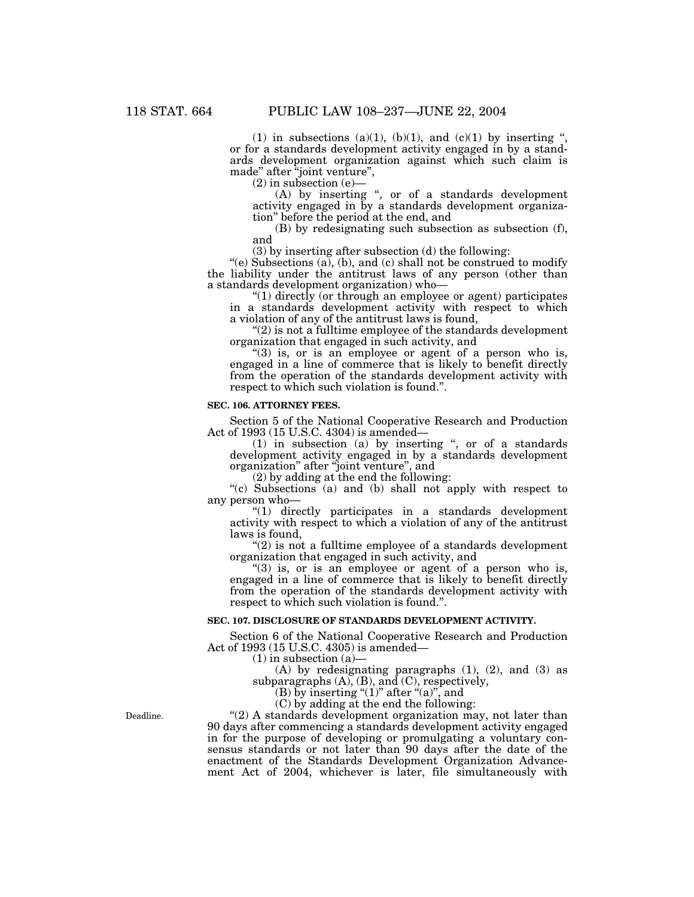(1) in subsections (a)(1), (b)(1), and (c)(1) by inserting " or for a standards development activity engaged in by a standards development organization against which such claim is made'' after ''joint venture'',

(2) in subsection (e)—

 $(A)$  by inserting ", or of a standards development activity engaged in by a standards development organization'' before the period at the end, and

(B) by redesignating such subsection as subsection (f), and

(3) by inserting after subsection (d) the following:

 $'(e)$  Subsections (a), (b), and (c) shall not be construed to modify the liability under the antitrust laws of any person (other than a standards development organization) who—

''(1) directly (or through an employee or agent) participates in a standards development activity with respect to which a violation of any of the antitrust laws is found,

 $''(2)$  is not a fulltime employee of the standards development organization that engaged in such activity, and

"(3) is, or is an employee or agent of a person who is, engaged in a line of commerce that is likely to benefit directly from the operation of the standards development activity with respect to which such violation is found.''.

### **SEC. 106. ATTORNEY FEES.**

Section 5 of the National Cooperative Research and Production Act of 1993 (15 U.S.C. 4304) is amended—

(1) in subsection (a) by inserting '', or of a standards development activity engaged in by a standards development organization'' after ''joint venture'', and

(2) by adding at the end the following:

''(c) Subsections (a) and (b) shall not apply with respect to any person who—

''(1) directly participates in a standards development activity with respect to which a violation of any of the antitrust laws is found,

 $(2)$  is not a fulltime employee of a standards development organization that engaged in such activity, and

" $(3)$  is, or is an employee or agent of a person who is, engaged in a line of commerce that is likely to benefit directly from the operation of the standards development activity with respect to which such violation is found.''.

### **SEC. 107. DISCLOSURE OF STANDARDS DEVELOPMENT ACTIVITY.**

Section 6 of the National Cooperative Research and Production Act of 1993 (15 U.S.C. 4305) is amended—

(1) in subsection (a)—

(A) by redesignating paragraphs (1), (2), and (3) as subparagraphs (A), (B), and (C), respectively,

(B) by inserting " $(1)$ " after " $(a)$ ", and

(C) by adding at the end the following:

"(2) A standards development organization may, not later than 90 days after commencing a standards development activity engaged in for the purpose of developing or promulgating a voluntary consensus standards or not later than 90 days after the date of the enactment of the Standards Development Organization Advancement Act of 2004, whichever is later, file simultaneously with

Deadline.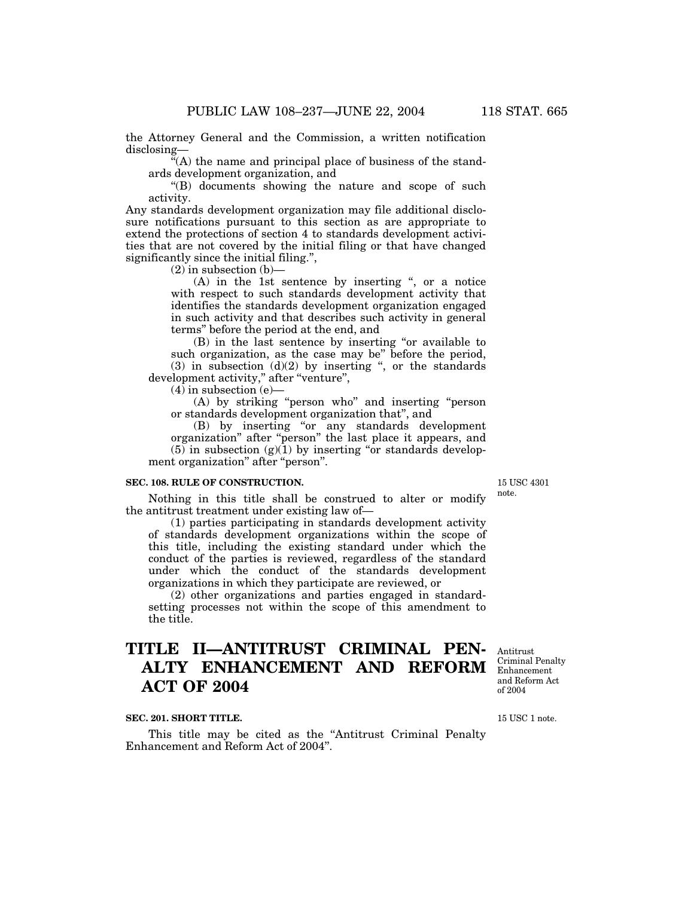the Attorney General and the Commission, a written notification disclosing—

 $\tilde{f}(A)$  the name and principal place of business of the standards development organization, and

''(B) documents showing the nature and scope of such activity.

Any standards development organization may file additional disclosure notifications pursuant to this section as are appropriate to extend the protections of section 4 to standards development activities that are not covered by the initial filing or that have changed significantly since the initial filing.'',

 $(2)$  in subsection  $(b)$ —

 $(A)$  in the 1st sentence by inserting ", or a notice with respect to such standards development activity that identifies the standards development organization engaged in such activity and that describes such activity in general terms'' before the period at the end, and

(B) in the last sentence by inserting ''or available to such organization, as the case may be'' before the period, (3) in subsection  $(d)(2)$  by inserting ", or the standards development activity," after "venture",

 $(4)$  in subsection (e)

(A) by striking ''person who'' and inserting ''person or standards development organization that'', and

(B) by inserting ''or any standards development organization'' after ''person'' the last place it appears, and  $(5)$  in subsection  $(g)(1)$  by inserting "or standards development organization" after "person".

### **SEC. 108. RULE OF CONSTRUCTION.**

Nothing in this title shall be construed to alter or modify the antitrust treatment under existing law of—

(1) parties participating in standards development activity of standards development organizations within the scope of this title, including the existing standard under which the conduct of the parties is reviewed, regardless of the standard under which the conduct of the standards development organizations in which they participate are reviewed, or

(2) other organizations and parties engaged in standardsetting processes not within the scope of this amendment to the title.

# **TITLE II—ANTITRUST CRIMINAL PEN-ALTY ENHANCEMENT AND REFORM ACT OF 2004**

Antitrust Criminal Penalty Enhancement and Reform Act of 2004

### **SEC. 201. SHORT TITLE.**

This title may be cited as the "Antitrust Criminal Penalty Enhancement and Reform Act of 2004''.

15 USC 1 note.

15 USC 4301 note.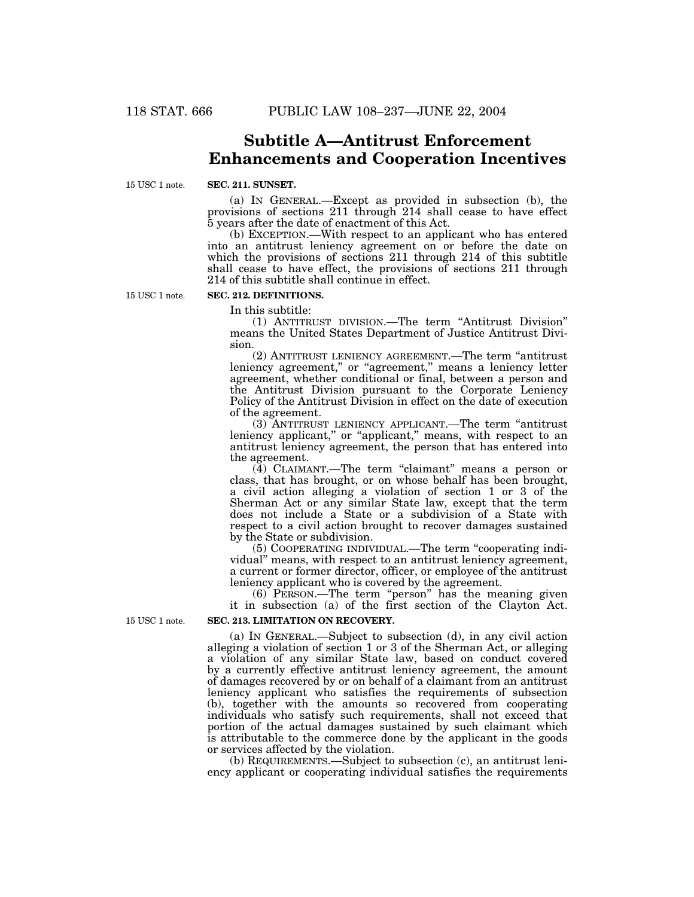# **Subtitle A—Antitrust Enforcement Enhancements and Cooperation Incentives**

15 USC 1 note.

### **SEC. 211. SUNSET.**

(a) IN GENERAL.—Except as provided in subsection (b), the provisions of sections 211 through 214 shall cease to have effect 5 years after the date of enactment of this Act.

(b) EXCEPTION.—With respect to an applicant who has entered into an antitrust leniency agreement on or before the date on which the provisions of sections 211 through 214 of this subtitle shall cease to have effect, the provisions of sections 211 through 214 of this subtitle shall continue in effect.

15 USC 1 note.

# **SEC. 212. DEFINITIONS.**

In this subtitle:

(1) ANTITRUST DIVISION.—The term ''Antitrust Division'' means the United States Department of Justice Antitrust Division.

(2) ANTITRUST LENIENCY AGREEMENT.—The term ''antitrust leniency agreement," or "agreement," means a leniency letter agreement, whether conditional or final, between a person and the Antitrust Division pursuant to the Corporate Leniency Policy of the Antitrust Division in effect on the date of execution of the agreement.

(3) ANTITRUST LENIENCY APPLICANT.—The term ''antitrust leniency applicant," or "applicant," means, with respect to an antitrust leniency agreement, the person that has entered into the agreement.

 $(4)$  CLAIMANT.—The term "claimant" means a person or class, that has brought, or on whose behalf has been brought, a civil action alleging a violation of section 1 or 3 of the Sherman Act or any similar State law, except that the term does not include a State or a subdivision of a State with respect to a civil action brought to recover damages sustained by the State or subdivision.

(5) COOPERATING INDIVIDUAL.—The term ''cooperating individual'' means, with respect to an antitrust leniency agreement, a current or former director, officer, or employee of the antitrust leniency applicant who is covered by the agreement.

(6) PERSON.—The term ''person'' has the meaning given it in subsection (a) of the first section of the Clayton Act.

## **SEC. 213. LIMITATION ON RECOVERY.**

(a) IN GENERAL.—Subject to subsection (d), in any civil action alleging a violation of section 1 or 3 of the Sherman Act, or alleging a violation of any similar State law, based on conduct covered by a currently effective antitrust leniency agreement, the amount of damages recovered by or on behalf of a claimant from an antitrust leniency applicant who satisfies the requirements of subsection (b), together with the amounts so recovered from cooperating individuals who satisfy such requirements, shall not exceed that portion of the actual damages sustained by such claimant which is attributable to the commerce done by the applicant in the goods or services affected by the violation.

(b) REQUIREMENTS.—Subject to subsection (c), an antitrust leniency applicant or cooperating individual satisfies the requirements

15 USC 1 note.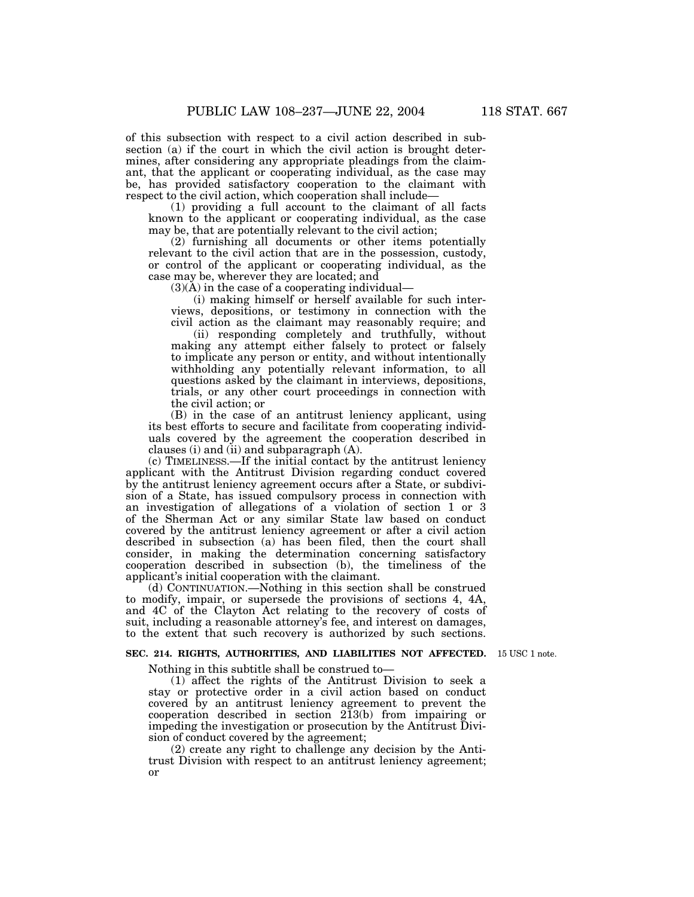of this subsection with respect to a civil action described in subsection (a) if the court in which the civil action is brought determines, after considering any appropriate pleadings from the claimant, that the applicant or cooperating individual, as the case may be, has provided satisfactory cooperation to the claimant with respect to the civil action, which cooperation shall include—

(1) providing a full account to the claimant of all facts known to the applicant or cooperating individual, as the case may be, that are potentially relevant to the civil action;

(2) furnishing all documents or other items potentially relevant to the civil action that are in the possession, custody, or control of the applicant or cooperating individual, as the case may be, wherever they are located; and

 $(3)(\tilde{A})$  in the case of a cooperating individual—

(i) making himself or herself available for such interviews, depositions, or testimony in connection with the civil action as the claimant may reasonably require; and

(ii) responding completely and truthfully, without making any attempt either falsely to protect or falsely to implicate any person or entity, and without intentionally withholding any potentially relevant information, to all questions asked by the claimant in interviews, depositions, trials, or any other court proceedings in connection with the civil action; or

(B) in the case of an antitrust leniency applicant, using its best efforts to secure and facilitate from cooperating individuals covered by the agreement the cooperation described in clauses (i) and (ii) and subparagraph (A).

(c) TIMELINESS.—If the initial contact by the antitrust leniency applicant with the Antitrust Division regarding conduct covered by the antitrust leniency agreement occurs after a State, or subdivision of a State, has issued compulsory process in connection with an investigation of allegations of a violation of section 1 or 3 of the Sherman Act or any similar State law based on conduct covered by the antitrust leniency agreement or after a civil action described in subsection (a) has been filed, then the court shall consider, in making the determination concerning satisfactory cooperation described in subsection (b), the timeliness of the applicant's initial cooperation with the claimant.

(d) CONTINUATION.—Nothing in this section shall be construed to modify, impair, or supersede the provisions of sections 4, 4A, and 4C of the Clayton Act relating to the recovery of costs of suit, including a reasonable attorney's fee, and interest on damages, to the extent that such recovery is authorized by such sections.

#### **SEC. 214. RIGHTS, AUTHORITIES, AND LIABILITIES NOT AFFECTED.** 15 USC 1 note.

Nothing in this subtitle shall be construed to—

(1) affect the rights of the Antitrust Division to seek a stay or protective order in a civil action based on conduct covered by an antitrust leniency agreement to prevent the cooperation described in section 213(b) from impairing or impeding the investigation or prosecution by the Antitrust Division of conduct covered by the agreement;

(2) create any right to challenge any decision by the Antitrust Division with respect to an antitrust leniency agreement; or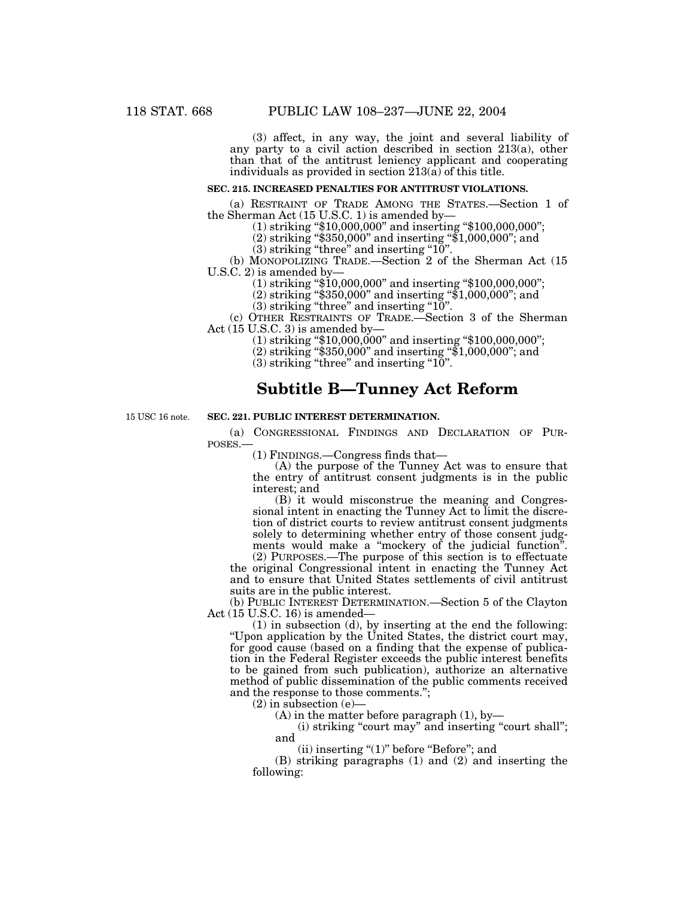(3) affect, in any way, the joint and several liability of any party to a civil action described in section 213(a), other than that of the antitrust leniency applicant and cooperating individuals as provided in section 213(a) of this title.

### **SEC. 215. INCREASED PENALTIES FOR ANTITRUST VIOLATIONS.**

(a) RESTRAINT OF TRADE AMONG THE STATES.—Section 1 of the Sherman Act (15 U.S.C. 1) is amended by the Sherman Act (15 U.S.C. 1) is amended by—<br>(1) striking "\$10,000,000" and inserting "\$100,000,000";

- (2) striking ''\$350,000'' and inserting ''\$1,000,000''; and
- $(3)$  striking "three" and inserting "10".

(b) MONOPOLIZING TRADE.—Section 2 of the Sherman Act (15 U.S.C.  $2$ ) is amended by-

 $(1)$  striking " $$10,000,000$ " and inserting " $$100,000,000$ ";

(2) striking ''\$350,000'' and inserting ''\$1,000,000''; and

 $(3)$  striking "three" and inserting "10".

(c) OTHER RESTRAINTS OF TRADE.—Section 3 of the Sherman Act (15 U.S.C. 3) is amended by—

(1) striking ''\$10,000,000'' and inserting ''\$100,000,000'';

(2) striking ''\$350,000'' and inserting ''\$1,000,000''; and

 $(3)$  striking "three" and inserting "10".

# **Subtitle B—Tunney Act Reform**

15 USC 16 note.

## **SEC. 221. PUBLIC INTEREST DETERMINATION.**

(a) CONGRESSIONAL FINDINGS AND DECLARATION OF PUR-POSES.—

(1) FINDINGS.—Congress finds that—

(A) the purpose of the Tunney Act was to ensure that the entry of antitrust consent judgments is in the public interest; and

(B) it would misconstrue the meaning and Congressional intent in enacting the Tunney Act to limit the discretion of district courts to review antitrust consent judgments solely to determining whether entry of those consent judgments would make a "mockery of the judicial function". (2) PURPOSES.—The purpose of this section is to effectuate

the original Congressional intent in enacting the Tunney Act and to ensure that United States settlements of civil antitrust suits are in the public interest.

(b) PUBLIC INTEREST DETERMINATION.—Section 5 of the Clayton Act (15 U.S.C. 16) is amended—

(1) in subsection (d), by inserting at the end the following: ''Upon application by the United States, the district court may, for good cause (based on a finding that the expense of publication in the Federal Register exceeds the public interest benefits to be gained from such publication), authorize an alternative method of public dissemination of the public comments received and the response to those comments.'';

 $(2)$  in subsection  $(e)$ -

 $(A)$  in the matter before paragraph  $(1)$ , by-

(i) striking "court may" and inserting "court shall"; and

(ii) inserting " $(1)$ " before "Before"; and

(B) striking paragraphs (1) and (2) and inserting the following: